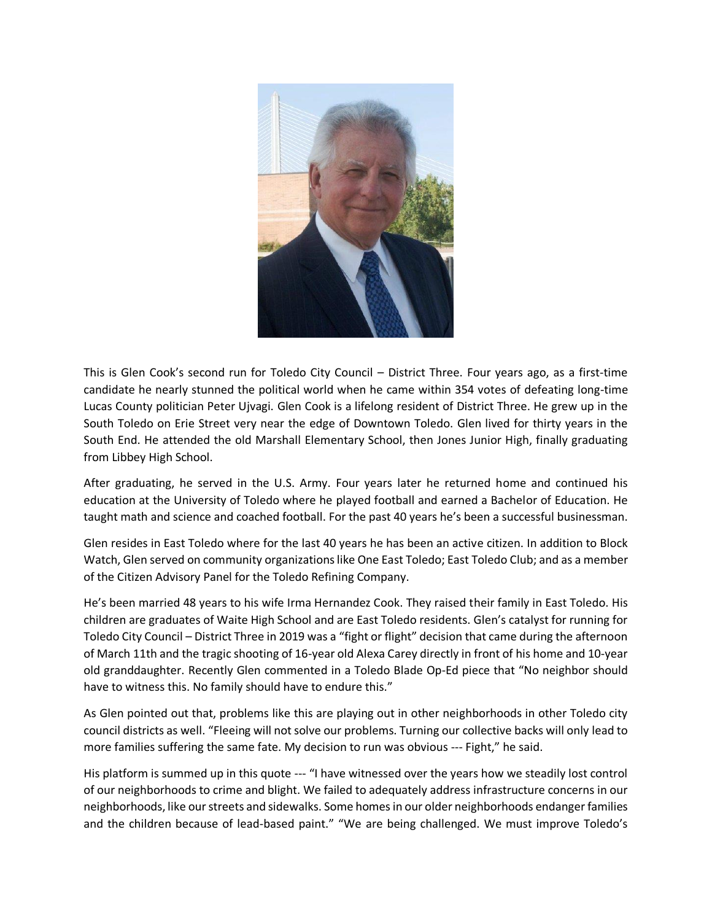

This is Glen Cook's second run for Toledo City Council – District Three. Four years ago, as a first-time candidate he nearly stunned the political world when he came within 354 votes of defeating long-time Lucas County politician Peter Ujvagi. Glen Cook is a lifelong resident of District Three. He grew up in the South Toledo on Erie Street very near the edge of Downtown Toledo. Glen lived for thirty years in the South End. He attended the old Marshall Elementary School, then Jones Junior High, finally graduating from Libbey High School.

After graduating, he served in the U.S. Army. Four years later he returned home and continued his education at the University of Toledo where he played football and earned a Bachelor of Education. He taught math and science and coached football. For the past 40 years he's been a successful businessman.

Glen resides in East Toledo where for the last 40 years he has been an active citizen. In addition to Block Watch, Glen served on community organizations like One East Toledo; East Toledo Club; and as a member of the Citizen Advisory Panel for the Toledo Refining Company.

He's been married 48 years to his wife Irma Hernandez Cook. They raised their family in East Toledo. His children are graduates of Waite High School and are East Toledo residents. Glen's catalyst for running for Toledo City Council – District Three in 2019 was a "fight or flight" decision that came during the afternoon of March 11th and the tragic shooting of 16-year old Alexa Carey directly in front of his home and 10-year old granddaughter. Recently Glen commented in a Toledo Blade Op-Ed piece that "No neighbor should have to witness this. No family should have to endure this."

As Glen pointed out that, problems like this are playing out in other neighborhoods in other Toledo city council districts as well. "Fleeing will not solve our problems. Turning our collective backs will only lead to more families suffering the same fate. My decision to run was obvious --- Fight," he said.

His platform is summed up in this quote --- "I have witnessed over the years how we steadily lost control of our neighborhoods to crime and blight. We failed to adequately address infrastructure concerns in our neighborhoods, like our streets and sidewalks. Some homes in our older neighborhoods endanger families and the children because of lead-based paint." "We are being challenged. We must improve Toledo's